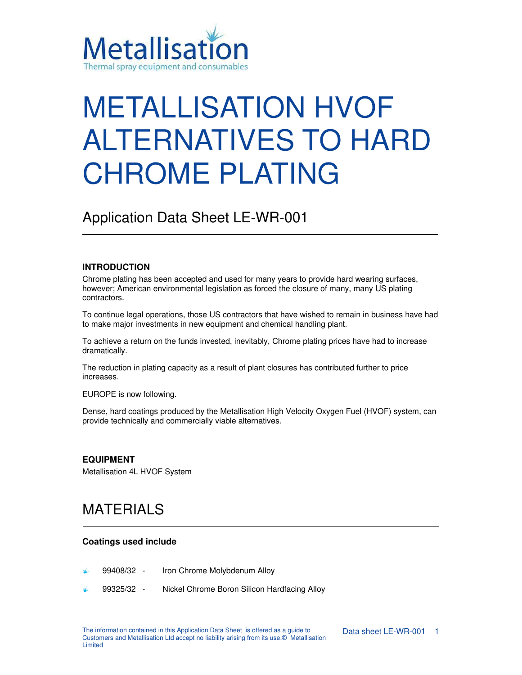

# METALLISATION HVOF ALTERNATIVES TO HARD CHROME PLATING

Application Data Sheet LE-WR-001

### **INTRODUCTION**

Chrome plating has been accepted and used for many years to provide hard wearing surfaces, however; American environmental legislation as forced the closure of many, many US plating contractors.

To continue legal operations, those US contractors that have wished to remain in business have had to make major investments in new equipment and chemical handling plant.

To achieve a return on the funds invested, inevitably, Chrome plating prices have had to increase dramatically.

The reduction in plating capacity as a result of plant closures has contributed further to price increases.

EUROPE is now following.

Dense, hard coatings produced by the Metallisation High Velocity Oxygen Fuel (HVOF) system, can provide technically and commercially viable alternatives.

### **EQUIPMENT**

Metallisation 4L HVOF System

### MATERIALS

#### **Coatings used include**

- 99408/32 Iron Chrome Molybdenum Alloy
- 99325/32 Nickel Chrome Boron Silicon Hardfacing Alloy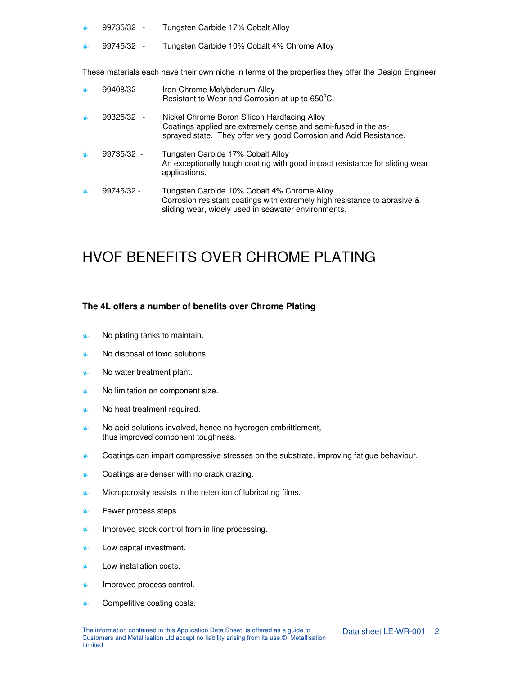- 99735/32 Tungsten Carbide 17% Cobalt Alloy
- 99745/32 Tungsten Carbide 10% Cobalt 4% Chrome Alloy

These materials each have their own niche in terms of the properties they offer the Design Engineer

| 99408/32 -   | Iron Chrome Molybdenum Alloy<br>Resistant to Wear and Corrosion at up to 650°C.                                                                                                      |
|--------------|--------------------------------------------------------------------------------------------------------------------------------------------------------------------------------------|
| $99325/32 -$ | Nickel Chrome Boron Silicon Hardfacing Alloy<br>Coatings applied are extremely dense and semi-fused in the as-<br>sprayed state. They offer very good Corrosion and Acid Resistance. |
| 99735/32 -   | Tungsten Carbide 17% Cobalt Alloy<br>An exceptionally tough coating with good impact resistance for sliding wear<br>applications.                                                    |
| 99745/32 -   | Tungsten Carbide 10% Cobalt 4% Chrome Alloy<br>Corrosion resistant coatings with extremely high resistance to abrasive &<br>sliding wear, widely used in seawater environments.      |

## HVOF BENEFITS OVER CHROME PLATING

### **The 4L offers a number of benefits over Chrome Plating**

- عطا No plating tanks to maintain.
- $\blacklozenge$  No disposal of toxic solutions.
- $\blacklozenge$  No water treatment plant.
- $\blacklozenge$  No limitation on component size.
- علا No heat treatment required.
- No acid solutions involved, hence no hydrogen embrittlement, عطط thus improved component toughness.
- $\blacklozenge$  Coatings can impart compressive stresses on the substrate, improving fatigue behaviour.
- Coatings are denser with no crack crazing.
- علا Microporosity assists in the retention of lubricating films.
- Fewer process steps. s
- Improved stock control from in line processing. Ł
- Low capital investment. علا
- sk Low installation costs.
- rde. Improved process control.
- عطا Competitive coating costs.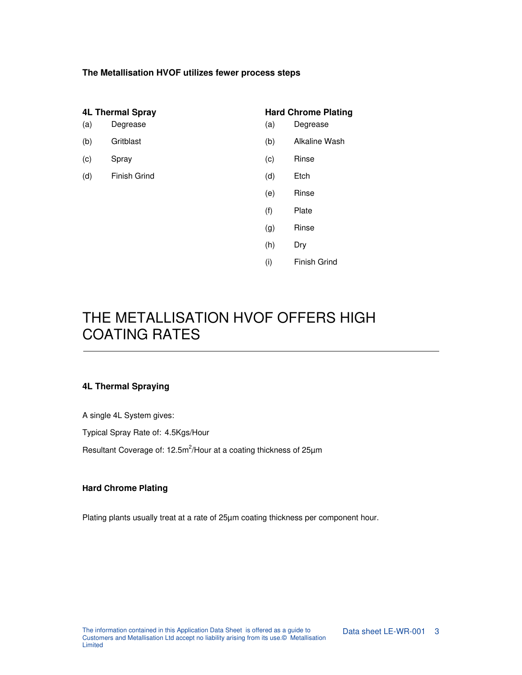### **The Metallisation HVOF utilizes fewer process steps**

| <b>4L Thermal Spray</b><br>(a)<br>Degrease |                     | <b>Hard Chrome Plating</b><br>Degrease<br>(a) |                     |
|--------------------------------------------|---------------------|-----------------------------------------------|---------------------|
| (b)                                        | Gritblast           | (b)                                           | Alkaline Wash       |
| (c)                                        | Spray               | (c)                                           | Rinse               |
| (d)                                        | <b>Finish Grind</b> | (d)                                           | Etch                |
|                                            |                     | (e)                                           | Rinse               |
|                                            |                     | (f)                                           | Plate               |
|                                            |                     | (g)                                           | Rinse               |
|                                            |                     | (h)                                           | Dry                 |
|                                            |                     | (i)                                           | <b>Finish Grind</b> |

# THE METALLISATION HVOF OFFERS HIGH COATING RATES

### **4L Thermal Spraying**

A single 4L System gives:

Typical Spray Rate of: 4.5Kgs/Hour

Resultant Coverage of: 12.5m<sup>2</sup>/Hour at a coating thickness of 25 $\mu$ m

### **Hard Chrome Plating**

Plating plants usually treat at a rate of 25µm coating thickness per component hour.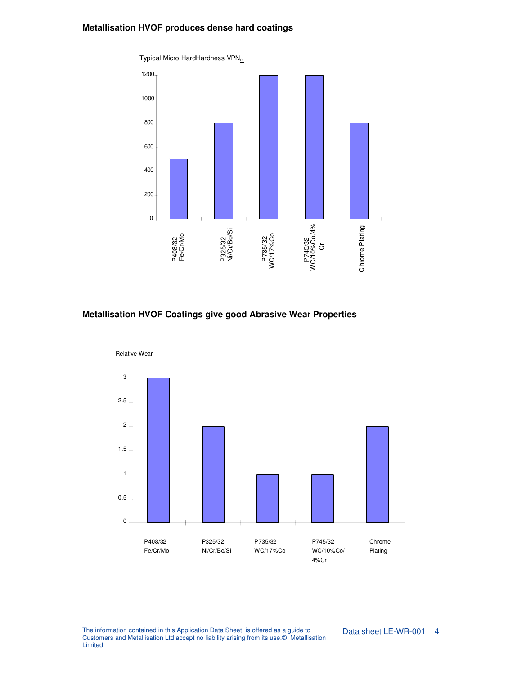### **Metallisation HVOF produces dense hard coatings**



### **Metallisation HVOF Coatings give good Abrasive Wear Properties**



The information contained in this Application Data Sheet is offered as a guide to Customers and Metallisation Ltd accept no liability arising from its use.© Metallisation Limited

Data sheet LE-WR-001 4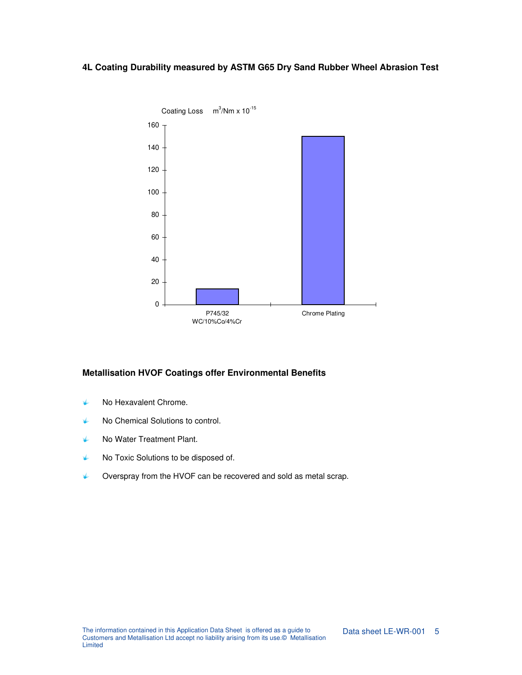### **4L Coating Durability measured by ASTM G65 Dry Sand Rubber Wheel Abrasion Test**



### **Metallisation HVOF Coatings offer Environmental Benefits**

- ↓ No Hexavalent Chrome.
- No Chemical Solutions to control. L
- No Water Treatment Plant. علا
- K No Toxic Solutions to be disposed of.
- Overspray from the HVOF can be recovered and sold as metal scrap. علا